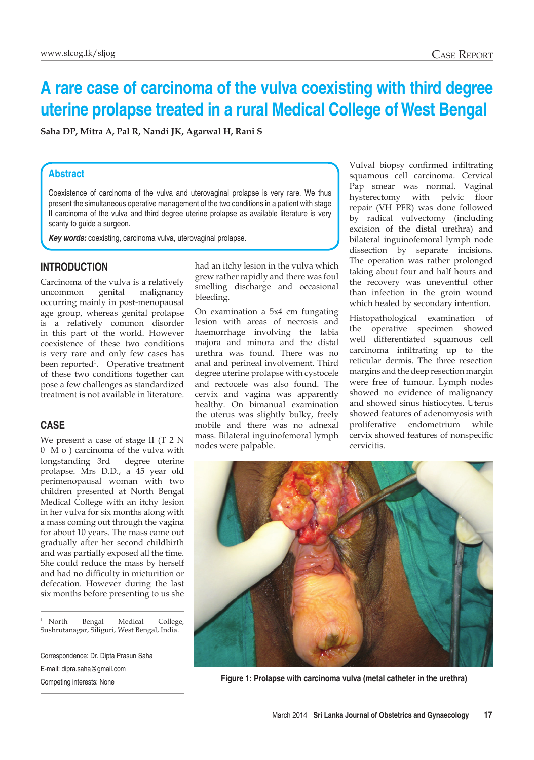# **A rare case of carcinoma of the vulva coexisting with third degree uterine prolapse treated in a rural Medical College of West Bengal**

**Saha DP, Mitra A, Pal R, Nandi JK, Agarwal H, Rani S**

## **Abstract**

Coexistence of carcinoma of the vulva and uterovaginal prolapse is very rare. We thus present the simultaneous operative management of the two conditions in a patient with stage II carcinoma of the vulva and third degree uterine prolapse as available literature is very scanty to guide a surgeon.

*Key words:* coexisting, carcinoma vulva, uterovaginal prolapse.

## **Introduction**

Carcinoma of the vulva is a relatively uncommon genital malignancy occurring mainly in post-menopausal age group, whereas genital prolapse is a relatively common disorder in this part of the world. However coexistence of these two conditions is very rare and only few cases has been reported<sup>1</sup>. Operative treatment of these two conditions together can pose a few challenges as standardized treatment is not available in literature.

#### **Case**

We present a case of stage II (T 2 N 0 M o ) carcinoma of the vulva with longstanding 3rd degree uterine prolapse. Mrs D.D., a 45 year old perimenopausal woman with two children presented at North Bengal Medical College with an itchy lesion in her vulva for six months along with a mass coming out through the vagina for about 10 years. The mass came out gradually after her second childbirth and was partially exposed all the time. She could reduce the mass by herself and had no difficulty in micturition or defecation. However during the last six months before presenting to us she

<sup>1</sup> North Bengal Medical College, Sushrutanagar, Siliguri, West Bengal, India.

Correspondence: Dr. Dipta Prasun Saha E-mail: dipra.saha@gmail.com

had an itchy lesion in the vulva which grew rather rapidly and there was foul smelling discharge and occasional bleeding.

On examination a 5x4 cm fungating lesion with areas of necrosis and haemorrhage involving the labia majora and minora and the distal urethra was found. There was no anal and perineal involvement. Third degree uterine prolapse with cystocele and rectocele was also found. The cervix and vagina was apparently healthy. On bimanual examination the uterus was slightly bulky, freely mobile and there was no adnexal mass. Bilateral inguinofemoral lymph nodes were palpable.

Vulval biopsy confirmed infiltrating squamous cell carcinoma. Cervical Pap smear was normal. Vaginal hysterectomy with pelvic floor repair (VH PFR) was done followed by radical vulvectomy (including excision of the distal urethra) and bilateral inguinofemoral lymph node dissection by separate incisions. The operation was rather prolonged taking about four and half hours and the recovery was uneventful other than infection in the groin wound which healed by secondary intention.

Histopathological examination of the operative specimen showed well differentiated squamous cell carcinoma infiltrating up to the reticular dermis. The three resection margins and the deep resection margin were free of tumour. Lymph nodes showed no evidence of malignancy and showed sinus histiocytes. Uterus showed features of adenomyosis with proliferative endometrium while cervix showed features of nonspecific cervicitis.



Competing interests: None **Figure 1: Prolapse with carcinoma vulva (metal catheter in the urethra)**